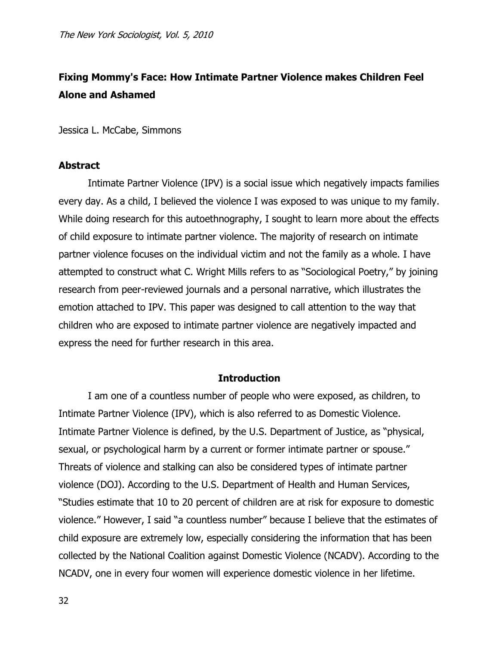## **Fixing Mommy's Face: How Intimate Partner Violence makes Children Feel Alone and Ashamed**

Jessica L. McCabe, Simmons

## **Abstract**

Intimate Partner Violence (IPV) is a social issue which negatively impacts families every day. As a child, I believed the violence I was exposed to was unique to my family. While doing research for this autoethnography, I sought to learn more about the effects of child exposure to intimate partner violence. The majority of research on intimate partner violence focuses on the individual victim and not the family as a whole. I have attempted to construct what C. Wright Mills refers to as "Sociological Poetry," by joining research from peer-reviewed journals and a personal narrative, which illustrates the emotion attached to IPV. This paper was designed to call attention to the way that children who are exposed to intimate partner violence are negatively impacted and express the need for further research in this area.

## **Introduction**

I am one of a countless number of people who were exposed, as children, to Intimate Partner Violence (IPV), which is also referred to as Domestic Violence. Intimate Partner Violence is defined, by the U.S. Department of Justice, as "physical, sexual, or psychological harm by a current or former intimate partner or spouse." Threats of violence and stalking can also be considered types of intimate partner violence (DOJ). According to the U.S. Department of Health and Human Services, "Studies estimate that 10 to 20 percent of children are at risk for exposure to domestic violence." However, I said "a countless number" because I believe that the estimates of child exposure are extremely low, especially considering the information that has been collected by the National Coalition against Domestic Violence (NCADV). According to the NCADV, one in every four women will experience domestic violence in her lifetime.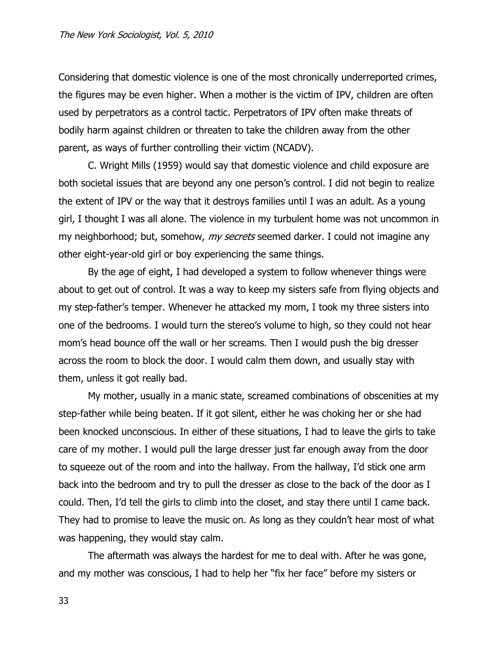Considering that domestic violence is one of the most chronically underreported crimes, the figures may be even higher. When a mother is the victim of IPV, children are often used by perpetrators as a control tactic. Perpetrators of IPV often make threats of bodily harm against children or threaten to take the children away from the other parent, as ways of further controlling their victim (NCADV).

C. Wright Mills (1959) would say that domestic violence and child exposure are both societal issues that are beyond any one person's control. I did not begin to realize the extent of IPV or the way that it destroys families until I was an adult. As a young girl, I thought I was all alone. The violence in my turbulent home was not uncommon in my neighborhood; but, somehow, *my secrets* seemed darker. I could not imagine any other eight-year-old girl or boy experiencing the same things.

By the age of eight, I had developed a system to follow whenever things were about to get out of control. It was a way to keep my sisters safe from flying objects and my step-father's temper. Whenever he attacked my mom, I took my three sisters into one of the bedrooms. I would turn the stereo's volume to high, so they could not hear mom's head bounce off the wall or her screams. Then I would push the big dresser across the room to block the door. I would calm them down, and usually stay with them, unless it got really bad.

My mother, usually in a manic state, screamed combinations of obscenities at my step-father while being beaten. If it got silent, either he was choking her or she had been knocked unconscious. In either of these situations, I had to leave the girls to take care of my mother. I would pull the large dresser just far enough away from the door to squeeze out of the room and into the hallway. From the hallway, I'd stick one arm back into the bedroom and try to pull the dresser as close to the back of the door as I could. Then, I'd tell the girls to climb into the closet, and stay there until I came back. They had to promise to leave the music on. As long as they couldn't hear most of what was happening, they would stay calm.

The aftermath was always the hardest for me to deal with. After he was gone, and my mother was conscious, I had to help her "fix her face" before my sisters or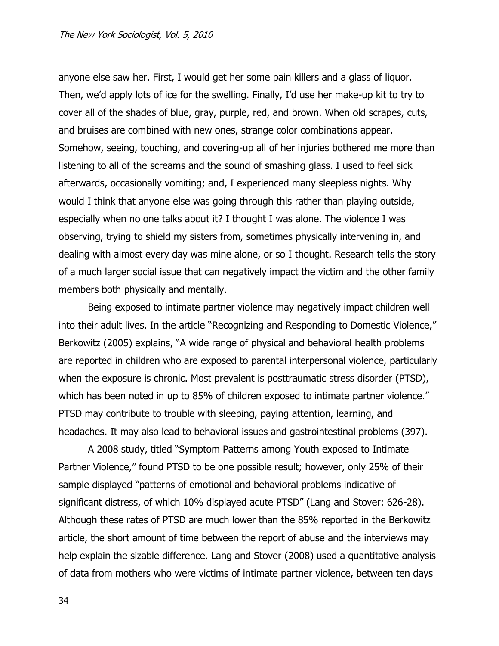anyone else saw her. First, I would get her some pain killers and a glass of liquor. Then, we'd apply lots of ice for the swelling. Finally, I'd use her make-up kit to try to cover all of the shades of blue, gray, purple, red, and brown. When old scrapes, cuts, and bruises are combined with new ones, strange color combinations appear. Somehow, seeing, touching, and covering-up all of her injuries bothered me more than listening to all of the screams and the sound of smashing glass. I used to feel sick afterwards, occasionally vomiting; and, I experienced many sleepless nights. Why would I think that anyone else was going through this rather than playing outside, especially when no one talks about it? I thought I was alone. The violence I was observing, trying to shield my sisters from, sometimes physically intervening in, and dealing with almost every day was mine alone, or so I thought. Research tells the story of a much larger social issue that can negatively impact the victim and the other family members both physically and mentally.

Being exposed to intimate partner violence may negatively impact children well into their adult lives. In the article "Recognizing and Responding to Domestic Violence," Berkowitz (2005) explains, "A wide range of physical and behavioral health problems are reported in children who are exposed to parental interpersonal violence, particularly when the exposure is chronic. Most prevalent is posttraumatic stress disorder (PTSD), which has been noted in up to 85% of children exposed to intimate partner violence." PTSD may contribute to trouble with sleeping, paying attention, learning, and headaches. It may also lead to behavioral issues and gastrointestinal problems (397).

A 2008 study, titled "Symptom Patterns among Youth exposed to Intimate Partner Violence," found PTSD to be one possible result; however, only 25% of their sample displayed "patterns of emotional and behavioral problems indicative of significant distress, of which 10% displayed acute PTSD" (Lang and Stover: 626-28). Although these rates of PTSD are much lower than the 85% reported in the Berkowitz article, the short amount of time between the report of abuse and the interviews may help explain the sizable difference. Lang and Stover (2008) used a quantitative analysis of data from mothers who were victims of intimate partner violence, between ten days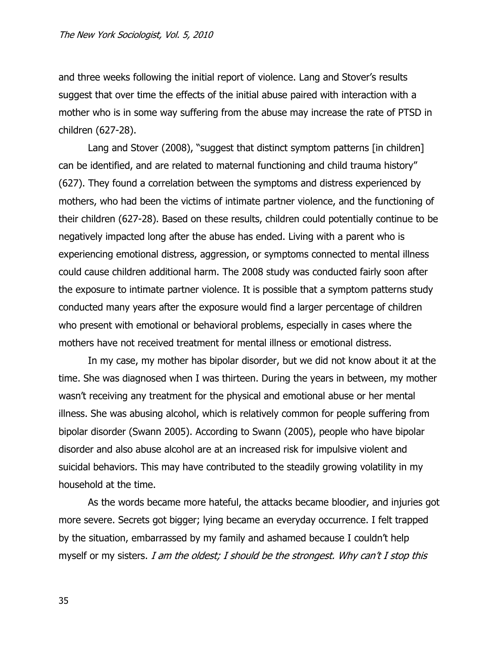and three weeks following the initial report of violence. Lang and Stover's results suggest that over time the effects of the initial abuse paired with interaction with a mother who is in some way suffering from the abuse may increase the rate of PTSD in children (627-28).

Lang and Stover (2008), "suggest that distinct symptom patterns [in children] can be identified, and are related to maternal functioning and child trauma history" (627). They found a correlation between the symptoms and distress experienced by mothers, who had been the victims of intimate partner violence, and the functioning of their children (627-28). Based on these results, children could potentially continue to be negatively impacted long after the abuse has ended. Living with a parent who is experiencing emotional distress, aggression, or symptoms connected to mental illness could cause children additional harm. The 2008 study was conducted fairly soon after the exposure to intimate partner violence. It is possible that a symptom patterns study conducted many years after the exposure would find a larger percentage of children who present with emotional or behavioral problems, especially in cases where the mothers have not received treatment for mental illness or emotional distress.

In my case, my mother has bipolar disorder, but we did not know about it at the time. She was diagnosed when I was thirteen. During the years in between, my mother wasn't receiving any treatment for the physical and emotional abuse or her mental illness. She was abusing alcohol, which is relatively common for people suffering from bipolar disorder (Swann 2005). According to Swann (2005), people who have bipolar disorder and also abuse alcohol are at an increased risk for impulsive violent and suicidal behaviors. This may have contributed to the steadily growing volatility in my household at the time.

As the words became more hateful, the attacks became bloodier, and injuries got more severe. Secrets got bigger; lying became an everyday occurrence. I felt trapped by the situation, embarrassed by my family and ashamed because I couldn't help myself or my sisters. I am the oldest; I should be the strongest. Why can't I stop this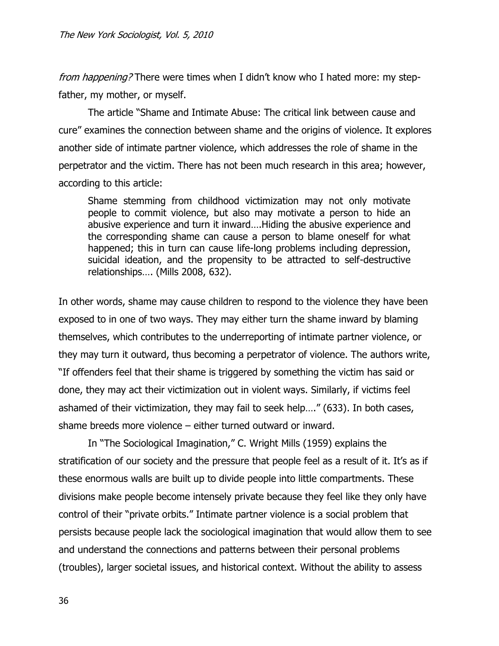from happening? There were times when I didn't know who I hated more: my stepfather, my mother, or myself.

The article "Shame and Intimate Abuse: The critical link between cause and cure" examines the connection between shame and the origins of violence. It explores another side of intimate partner violence, which addresses the role of shame in the perpetrator and the victim. There has not been much research in this area; however, according to this article:

Shame stemming from childhood victimization may not only motivate people to commit violence, but also may motivate a person to hide an abusive experience and turn it inward….Hiding the abusive experience and the corresponding shame can cause a person to blame oneself for what happened; this in turn can cause life-long problems including depression, suicidal ideation, and the propensity to be attracted to self-destructive relationships…. (Mills 2008, 632).

In other words, shame may cause children to respond to the violence they have been exposed to in one of two ways. They may either turn the shame inward by blaming themselves, which contributes to the underreporting of intimate partner violence, or they may turn it outward, thus becoming a perpetrator of violence. The authors write, "If offenders feel that their shame is triggered by something the victim has said or done, they may act their victimization out in violent ways. Similarly, if victims feel ashamed of their victimization, they may fail to seek help…." (633). In both cases, shame breeds more violence – either turned outward or inward.

In "The Sociological Imagination," C. Wright Mills (1959) explains the stratification of our society and the pressure that people feel as a result of it. It's as if these enormous walls are built up to divide people into little compartments. These divisions make people become intensely private because they feel like they only have control of their "private orbits." Intimate partner violence is a social problem that persists because people lack the sociological imagination that would allow them to see and understand the connections and patterns between their personal problems (troubles), larger societal issues, and historical context. Without the ability to assess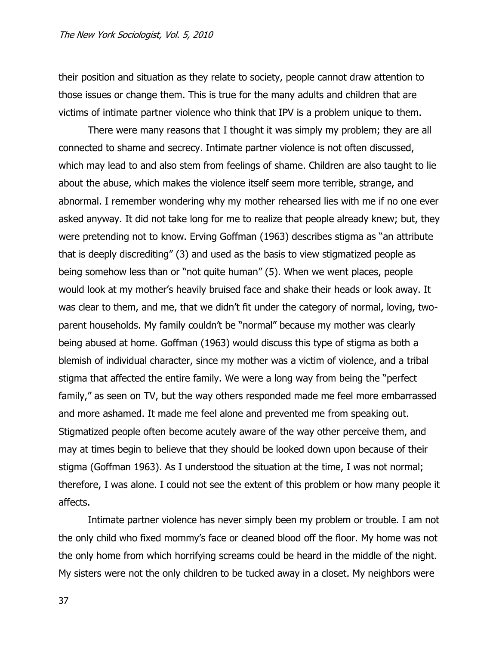their position and situation as they relate to society, people cannot draw attention to those issues or change them. This is true for the many adults and children that are victims of intimate partner violence who think that IPV is a problem unique to them.

There were many reasons that I thought it was simply my problem; they are all connected to shame and secrecy. Intimate partner violence is not often discussed, which may lead to and also stem from feelings of shame. Children are also taught to lie about the abuse, which makes the violence itself seem more terrible, strange, and abnormal. I remember wondering why my mother rehearsed lies with me if no one ever asked anyway. It did not take long for me to realize that people already knew; but, they were pretending not to know. Erving Goffman (1963) describes stigma as "an attribute that is deeply discrediting" (3) and used as the basis to view stigmatized people as being somehow less than or "not quite human" (5). When we went places, people would look at my mother's heavily bruised face and shake their heads or look away. It was clear to them, and me, that we didn't fit under the category of normal, loving, twoparent households. My family couldn't be "normal" because my mother was clearly being abused at home. Goffman (1963) would discuss this type of stigma as both a blemish of individual character, since my mother was a victim of violence, and a tribal stigma that affected the entire family. We were a long way from being the "perfect family," as seen on TV, but the way others responded made me feel more embarrassed and more ashamed. It made me feel alone and prevented me from speaking out. Stigmatized people often become acutely aware of the way other perceive them, and may at times begin to believe that they should be looked down upon because of their stigma (Goffman 1963). As I understood the situation at the time, I was not normal; therefore, I was alone. I could not see the extent of this problem or how many people it affects.

Intimate partner violence has never simply been my problem or trouble. I am not the only child who fixed mommy's face or cleaned blood off the floor. My home was not the only home from which horrifying screams could be heard in the middle of the night. My sisters were not the only children to be tucked away in a closet. My neighbors were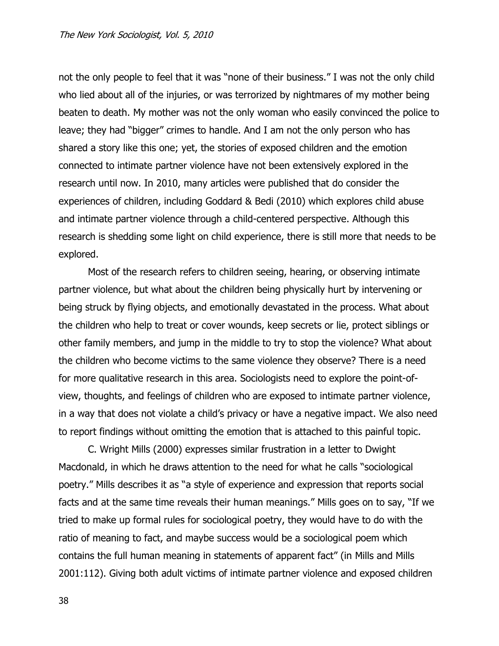not the only people to feel that it was "none of their business." I was not the only child who lied about all of the injuries, or was terrorized by nightmares of my mother being beaten to death. My mother was not the only woman who easily convinced the police to leave; they had "bigger" crimes to handle. And I am not the only person who has shared a story like this one; yet, the stories of exposed children and the emotion connected to intimate partner violence have not been extensively explored in the research until now. In 2010, many articles were published that do consider the experiences of children, including Goddard & Bedi (2010) which explores child abuse and intimate partner violence through a child-centered perspective. Although this research is shedding some light on child experience, there is still more that needs to be explored.

Most of the research refers to children seeing, hearing, or observing intimate partner violence, but what about the children being physically hurt by intervening or being struck by flying objects, and emotionally devastated in the process. What about the children who help to treat or cover wounds, keep secrets or lie, protect siblings or other family members, and jump in the middle to try to stop the violence? What about the children who become victims to the same violence they observe? There is a need for more qualitative research in this area. Sociologists need to explore the point-ofview, thoughts, and feelings of children who are exposed to intimate partner violence, in a way that does not violate a child's privacy or have a negative impact. We also need to report findings without omitting the emotion that is attached to this painful topic.

C. Wright Mills (2000) expresses similar frustration in a letter to Dwight Macdonald, in which he draws attention to the need for what he calls "sociological poetry." Mills describes it as "a style of experience and expression that reports social facts and at the same time reveals their human meanings." Mills goes on to say, "If we tried to make up formal rules for sociological poetry, they would have to do with the ratio of meaning to fact, and maybe success would be a sociological poem which contains the full human meaning in statements of apparent fact" (in Mills and Mills 2001:112). Giving both adult victims of intimate partner violence and exposed children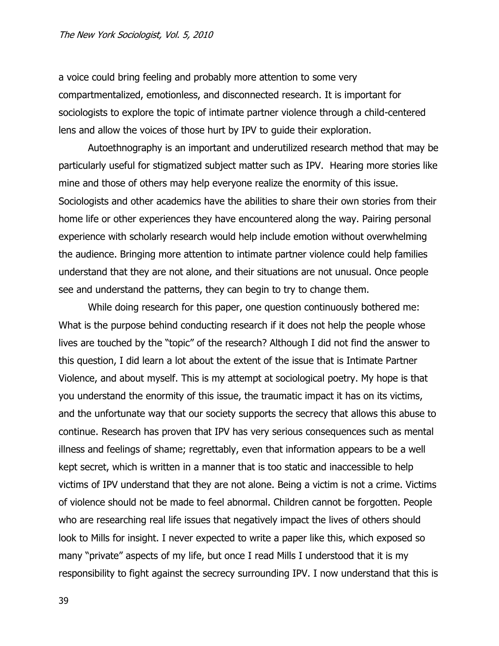a voice could bring feeling and probably more attention to some very compartmentalized, emotionless, and disconnected research. It is important for sociologists to explore the topic of intimate partner violence through a child-centered lens and allow the voices of those hurt by IPV to guide their exploration.

Autoethnography is an important and underutilized research method that may be particularly useful for stigmatized subject matter such as IPV. Hearing more stories like mine and those of others may help everyone realize the enormity of this issue. Sociologists and other academics have the abilities to share their own stories from their home life or other experiences they have encountered along the way. Pairing personal experience with scholarly research would help include emotion without overwhelming the audience. Bringing more attention to intimate partner violence could help families understand that they are not alone, and their situations are not unusual. Once people see and understand the patterns, they can begin to try to change them.

While doing research for this paper, one question continuously bothered me: What is the purpose behind conducting research if it does not help the people whose lives are touched by the "topic" of the research? Although I did not find the answer to this question, I did learn a lot about the extent of the issue that is Intimate Partner Violence, and about myself. This is my attempt at sociological poetry. My hope is that you understand the enormity of this issue, the traumatic impact it has on its victims, and the unfortunate way that our society supports the secrecy that allows this abuse to continue. Research has proven that IPV has very serious consequences such as mental illness and feelings of shame; regrettably, even that information appears to be a well kept secret, which is written in a manner that is too static and inaccessible to help victims of IPV understand that they are not alone. Being a victim is not a crime. Victims of violence should not be made to feel abnormal. Children cannot be forgotten. People who are researching real life issues that negatively impact the lives of others should look to Mills for insight. I never expected to write a paper like this, which exposed so many "private" aspects of my life, but once I read Mills I understood that it is my responsibility to fight against the secrecy surrounding IPV. I now understand that this is